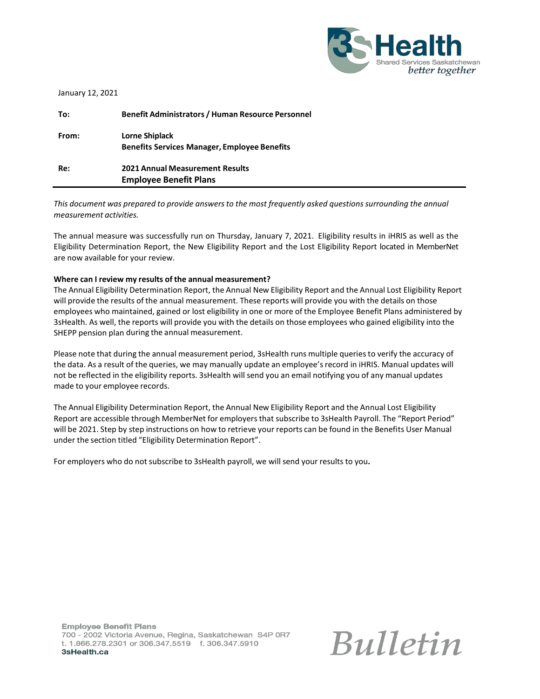

| January 12, 2021 |  |  |
|------------------|--|--|
|------------------|--|--|

| To:   | <b>Benefit Administrators / Human Resource Personnel</b>                |
|-------|-------------------------------------------------------------------------|
| From: | Lorne Shiplack<br><b>Benefits Services Manager, Employee Benefits</b>   |
| Re:   | <b>2021 Annual Measurement Results</b><br><b>Employee Benefit Plans</b> |

*This document was prepared to provide answersto the most frequently asked questionssurrounding the annual measurement activities.*

The annual measure was successfully run on Thursday, January 7, 2021. Eligibility results in iHRIS as well as the Eligibility Determination Report, the New Eligibility Report and the Lost Eligibility Report located in MemberNet are now available for your review.

#### **Where can I review my results of the annual measurement?**

The Annual Eligibility Determination Report, the Annual New Eligibility Report and the Annual Lost Eligibility Report will provide the results of the annual measurement. These reports will provide you with the details on those employees who maintained, gained or lost eligibility in one or more of the Employee Benefit Plans administered by 3sHealth. As well, the reports will provide you with the details on those employees who gained eligibility into the SHEPP pension plan during the annual measurement.

Please note that during the annual measurement period, 3sHealth runs multiple queriesto verify the accuracy of the data. As a result of the queries, we may manually update an employee's record in iHRIS. Manual updates will not be reflected in the eligibility reports. 3sHealth will send you an email notifying you of any manual updates made to your employee records.

The Annual Eligibility Determination Report, the Annual New Eligibility Report and the Annual Lost Eligibility Report are accessible through MemberNet for employers that subscribe to 3sHealth Payroll. The "Report Period" will be 2021. Step by step instructions on how to retrieve your reports can be found in the Benefits User Manual under the section titled "Eligibility Determination Report".

For employers who do not subscribe to 3sHealth payroll, we will send your results to you**.**

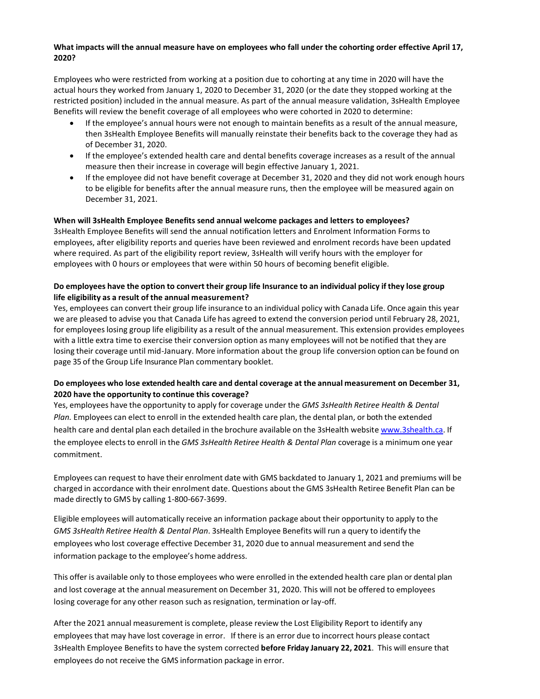### **What impacts will the annual measure have on employees who fall under the cohorting order effective April 17, 2020?**

Employees who were restricted from working at a position due to cohorting at any time in 2020 will have the actual hours they worked from January 1, 2020 to December 31, 2020 (or the date they stopped working at the restricted position) included in the annual measure. As part of the annual measure validation, 3sHealth Employee Benefits will review the benefit coverage of all employees who were cohorted in 2020 to determine:

- If the employee's annual hours were not enough to maintain benefits as a result of the annual measure, then 3sHealth Employee Benefits will manually reinstate their benefits back to the coverage they had as of December 31, 2020.
- If the employee's extended health care and dental benefits coverage increases as a result of the annual measure then their increase in coverage will begin effective January 1, 2021.
- If the employee did not have benefit coverage at December 31, 2020 and they did not work enough hours to be eligible for benefits after the annual measure runs, then the employee will be measured again on December 31, 2021.

#### **When will 3sHealth Employee Benefits send annual welcome packages and letters to employees?**

3sHealth Employee Benefits will send the annual notification letters and Enrolment Information Forms to employees, after eligibility reports and queries have been reviewed and enrolment records have been updated where required. As part of the eligibility report review, 3sHealth will verify hours with the employer for employees with 0 hours or employees that were within 50 hours of becoming benefit eligible.

### Do employees have the option to convert their group life Insurance to an individual policy if they lose group **life eligibility as a result of the annual measurement?**

Yes, employees can convert their group life insurance to an individual policy with Canada Life. Once again this year we are pleased to advise you that Canada Life has agreed to extend the conversion period until February 28, 2021, for employees losing group life eligibility as a result of the annual measurement. This extension provides employees with a little extra time to exercise their conversion option as many employees will not be notified that they are losing their coverage until mid-January. More information about the group life conversion option can be found on page 35 of the Group Life Insurance Plan commentary booklet.

### **Do employees who lose extended health care and dental coverage at the annual measurement on December 31, 2020 have the opportunity to continue this coverage?**

Yes, employees have the opportunity to apply for coverage under the *GMS 3sHealth Retiree Health & Dental Plan.* Employees can elect to enroll in the extended health care plan, the dental plan, or both the extended health care and dental plan each detailed in the brochure available on the 3sHealth website [www.3shealth.ca.](http://www.3shealth.ca/) If the employee electsto enroll in the *GMS 3sHealth Retiree Health & Dental Plan* coverage is a minimum one year commitment.

Employees can request to have their enrolment date with GMS backdated to January 1, 2021 and premiums will be charged in accordance with their enrolment date. Questions about the GMS 3sHealth Retiree Benefit Plan can be made directly to GMS by calling 1-800-667-3699.

Eligible employees will automatically receive an information package about their opportunity to apply to the *GMS 3sHealth Retiree Health & Dental Plan*. 3sHealth Employee Benefits will run a query to identify the employees who lost coverage effective December 31, 2020 due to annual measurement and send the information package to the employee's home address.

This offer is available only to those employees who were enrolled in the extended health care plan or dental plan and lost coverage at the annual measurement on December 31, 2020. This will not be offered to employees losing coverage for any other reason such as resignation, termination or lay-off.

After the 2021 annual measurement is complete, please review the Lost Eligibility Report to identify any employeesthat may have lost coverage in error. If there is an error due to incorrect hours please contact 3sHealth Employee Benefitsto have the system corrected **before Friday January 22, 2021**. This will ensure that employees do not receive the GMS information package in error.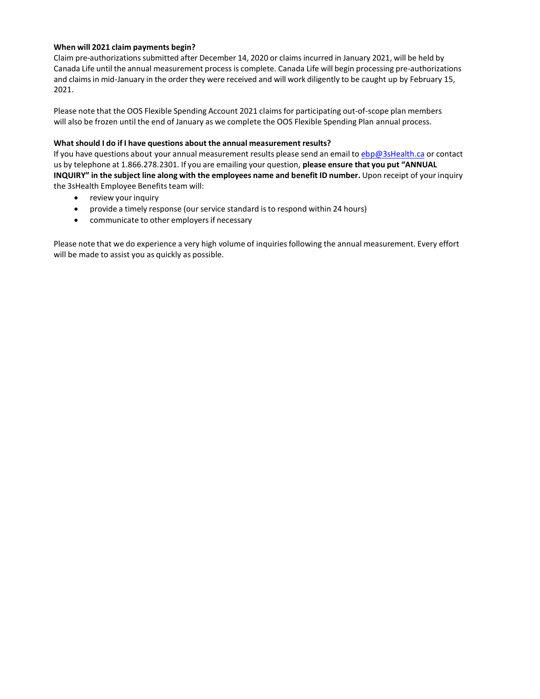### **When will 2021 claim payments begin?**

Claim pre-authorizationssubmitted after December 14, 2020 or claimsincurred in January 2021, will be held by Canada Life until the annual measurement processis complete. Canada Life will begin processing pre-authorizations and claims in mid-January in the order they were received and will work diligently to be caught up by February 15, 2021.

Please note that the OOS Flexible Spending Account 2021 claims for participating out-of-scope plan members will also be frozen until the end of January as we complete the OOS Flexible Spending Plan annual process.

#### **What should I do if I have questions about the annual measurement results?**

If you have questions about your annual measurement results please send an email to [ebp@3sHealth.ca](mailto:ebp@3sHealth.ca) or contact us by telephone at 1.866.278.2301. If you are emailing your question, **please ensure that you put "ANNUAL INQUIRY" in the subject line along with the employees name and benefit ID number.** Upon receipt of your inquiry the 3sHealth Employee Benefits team will:

- review your inquiry
- provide a timely response (our service standard is to respond within 24 hours)
- communicate to other employers if necessary

Please note that we do experience a very high volume of inquiries following the annual measurement. Every effort will be made to assist you as quickly as possible.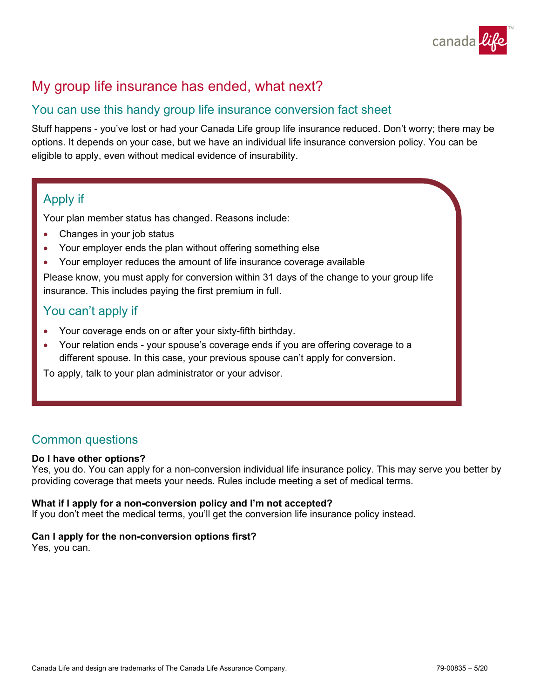

# My group life insurance has ended, what next?

## You can use this handy group life insurance conversion fact sheet

Stuff happens - you've lost or had your Canada Life group life insurance reduced. Don't worry; there may be options. It depends on your case, but we have an individual life insurance conversion policy. You can be eligible to apply, even without medical evidence of insurability.

## Apply if

Your plan member status has changed. Reasons include:

- Changes in your job status
- Your employer ends the plan without offering something else
- Your employer reduces the amount of life insurance coverage available

Please know, you must apply for conversion within 31 days of the change to your group life insurance. This includes paying the first premium in full.

## You can't apply if

- Your coverage ends on or after your sixty-fifth birthday.
- Your relation ends your spouse's coverage ends if you are offering coverage to a different spouse. In this case, your previous spouse can't apply for conversion.

To apply, talk to your plan administrator or your advisor.

## Common questions

## **Do I have other options?**

Yes, you do. You can apply for a non-conversion individual life insurance policy. This may serve you better by providing coverage that meets your needs. Rules include meeting a set of medical terms.

## **What if I apply for a non-conversion policy and I'm not accepted?**

If you don't meet the medical terms, you'll get the conversion life insurance policy instead.

## **Can I apply for the non-conversion options first?**

Yes, you can.